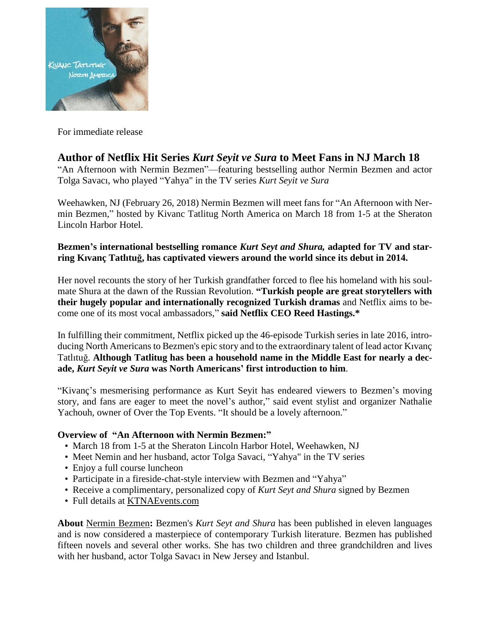

For immediate release

## **Author of Netflix Hit Series** *Kurt Seyit ve Sura* **to Meet Fans in NJ March 18**

"An Afternoon with Nermin Bezmen"—featuring bestselling author Nermin Bezmen and actor Tolga Savacı, who played "Yahya" in the TV series *Kurt Seyit ve Sura*

Weehawken, NJ (February 26, 2018) Nermin Bezmen will meet fans for "An Afternoon with Nermin Bezmen," hosted by Kivanc Tatlitug North America on March 18 from 1-5 at the Sheraton Lincoln Harbor Hotel.

## **Bezmen's international bestselling romance** *Kurt Seyt and Shura,* **adapted for TV and starring Kıvanç Tatlıtuğ, has captivated viewers around the world since its debut in 2014.**

Her novel recounts the story of her Turkish grandfather forced to flee his homeland with his soulmate Shura at the dawn of the Russian Revolution. **"Turkish people are great storytellers with their hugely popular and internationally recognized Turkish dramas** and Netflix aims to become one of its most vocal ambassadors," **said Netflix CEO Reed Hastings.\***

In fulfilling their commitment, Netflix picked up the 46-episode Turkish series in late 2016, introducing North Americans to Bezmen's epic story and to the extraordinary talent of lead actor Kıvanç Tatlıtuğ. **Although Tatlitug has been a household name in the Middle East for nearly a decade,** *Kurt Seyit ve Sura* **was North Americans' first introduction to him**.

"Kivanç's mesmerising performance as Kurt Seyit has endeared viewers to Bezmen's moving story, and fans are eager to meet the novel's author," said event stylist and organizer Nathalie Yachouh, owner of Over the Top Events. "It should be a lovely afternoon."

## **Overview of "An Afternoon with Nermin Bezmen:"**

- March 18 from 1-5 at the Sheraton Lincoln Harbor Hotel, Weehawken, NJ
- Meet Nemin and her husband, actor Tolga Savaci, "Yahya" in the TV series
- Enjoy a full course luncheon
- Participate in a fireside-chat-style interview with Bezmen and "Yahya"
- Receive a complimentary, personalized copy of *Kurt Seyt and Shura* signed by Bezmen
- Full details at [KTNAEvents.com](http://ktnaevents.com/)

**About** Nermin [Bezmen](http://www.kurtseytandshura.com/)**:** Bezmen's *Kurt Seyt and Shura* has been published in eleven languages and is now considered a masterpiece of contemporary Turkish literature. Bezmen has published fifteen novels and several other works. She has two children and three grandchildren and lives with her husband, actor Tolga Savacı in New Jersey and Istanbul.